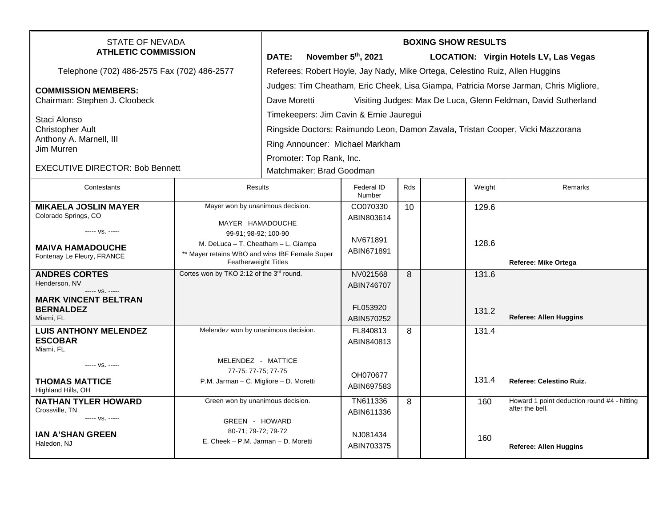| STATE OF NEVADA<br><b>ATHLETIC COMMISSION</b>                                                                              |                                                                                                                                                                                                      | <b>BOXING SHOW RESULTS</b><br>DATE:<br>November 5th, 2021<br><b>LOCATION: Virgin Hotels LV, Las Vegas</b>                                                                                                            |                                                  |     |  |                |                                                                                                 |  |
|----------------------------------------------------------------------------------------------------------------------------|------------------------------------------------------------------------------------------------------------------------------------------------------------------------------------------------------|----------------------------------------------------------------------------------------------------------------------------------------------------------------------------------------------------------------------|--------------------------------------------------|-----|--|----------------|-------------------------------------------------------------------------------------------------|--|
| Telephone (702) 486-2575 Fax (702) 486-2577                                                                                |                                                                                                                                                                                                      | Referees: Robert Hoyle, Jay Nady, Mike Ortega, Celestino Ruiz, Allen Huggins                                                                                                                                         |                                                  |     |  |                |                                                                                                 |  |
| <b>COMMISSION MEMBERS:</b><br>Chairman: Stephen J. Cloobeck                                                                |                                                                                                                                                                                                      | Judges: Tim Cheatham, Eric Cheek, Lisa Giampa, Patricia Morse Jarman, Chris Migliore,<br>Dave Moretti<br>Visiting Judges: Max De Luca, Glenn Feldman, David Sutherland                                               |                                                  |     |  |                |                                                                                                 |  |
| Staci Alonso<br><b>Christopher Ault</b><br>Anthony A. Marnell, III<br>Jim Murren<br><b>EXECUTIVE DIRECTOR: Bob Bennett</b> |                                                                                                                                                                                                      | Timekeepers: Jim Cavin & Ernie Jauregui<br>Ringside Doctors: Raimundo Leon, Damon Zavala, Tristan Cooper, Vicki Mazzorana<br>Ring Announcer: Michael Markham<br>Promoter: Top Rank, Inc.<br>Matchmaker: Brad Goodman |                                                  |     |  |                |                                                                                                 |  |
| Contestants                                                                                                                | Results                                                                                                                                                                                              |                                                                                                                                                                                                                      | Federal ID<br>Number                             | Rds |  | Weight         | Remarks                                                                                         |  |
| <b>MIKAELA JOSLIN MAYER</b><br>Colorado Springs, CO<br>----- VS. -----                                                     | Mayer won by unanimous decision.<br>MAYER HAMADOUCHE<br>99-91; 98-92; 100-90<br>M. DeLuca - T. Cheatham - L. Giampa<br>** Mayer retains WBO and wins IBF Female Super<br><b>Featherweight Titles</b> |                                                                                                                                                                                                                      | CO070330<br>ABIN803614                           | 10  |  | 129.6          |                                                                                                 |  |
| <b>MAIVA HAMADOUCHE</b><br>Fontenay Le Fleury, FRANCE                                                                      |                                                                                                                                                                                                      |                                                                                                                                                                                                                      | NV671891<br>ABIN671891                           |     |  | 128.6          | Referee: Mike Ortega                                                                            |  |
| <b>ANDRES CORTES</b><br>Henderson, NV<br>----- VS. -----<br><b>MARK VINCENT BELTRAN</b><br><b>BERNALDEZ</b>                | Cortes won by TKO 2:12 of the 3rd round.                                                                                                                                                             |                                                                                                                                                                                                                      | NV021568<br>ABIN746707<br>FL053920               | 8   |  | 131.6<br>131.2 |                                                                                                 |  |
| Miami. FL<br><b>LUIS ANTHONY MELENDEZ</b><br><b>ESCOBAR</b><br>Miami, FL                                                   | Melendez won by unanimous decision.                                                                                                                                                                  |                                                                                                                                                                                                                      | ABIN570252<br>FL840813<br>ABIN840813             | 8   |  | 131.4          | <b>Referee: Allen Huggins</b>                                                                   |  |
| ----- VS. -----<br><b>THOMAS MATTICE</b><br>Highland Hills, OH                                                             | MELENDEZ - MATTICE<br>77-75: 77-75; 77-75<br>P.M. Jarman - C. Migliore - D. Moretti                                                                                                                  |                                                                                                                                                                                                                      | OH070677<br>ABIN697583                           |     |  | 131.4          | Referee: Celestino Ruiz.                                                                        |  |
| <b>NATHAN TYLER HOWARD</b><br>Crossville, TN<br>----- VS. -----<br><b>IAN A'SHAN GREEN</b><br>Haledon, NJ                  | Green won by unanimous decision.<br>GREEN - HOWARD<br>80-71; 79-72; 79-72<br>E. Cheek - P.M. Jarman - D. Moretti                                                                                     |                                                                                                                                                                                                                      | TN611336<br>ABIN611336<br>NJ081434<br>ABIN703375 | 8   |  | 160<br>160     | Howard 1 point deduction round #4 - hitting<br>after the bell.<br><b>Referee: Allen Huggins</b> |  |